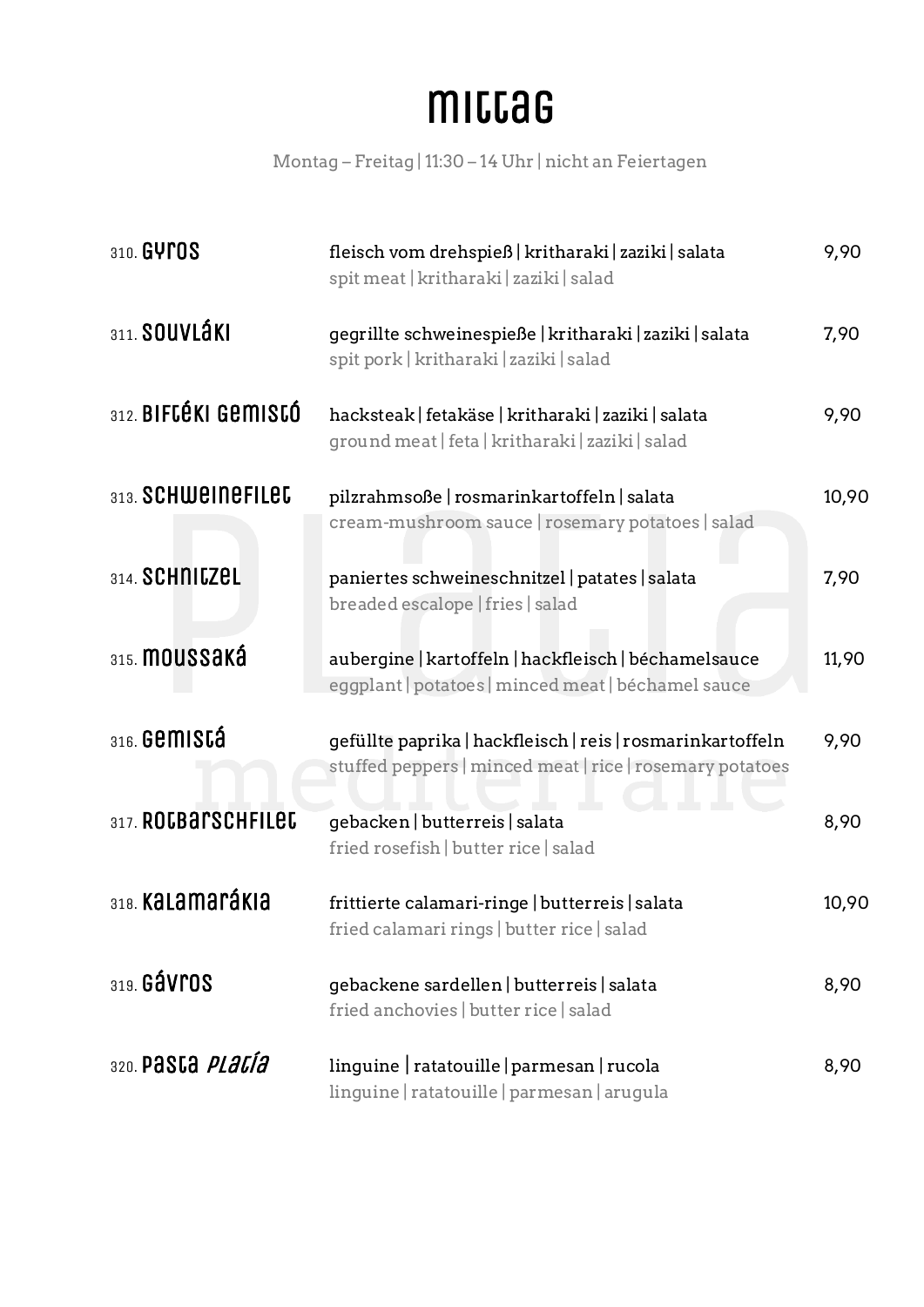#### mittag

Montag – Freitag | 11:30 – 14 Uhr | nicht an Feiertagen

| 310. GYPOS                          | fleisch vom drehspieß   kritharaki   zaziki   salata<br>spit meat   kritharaki   zaziki   salad                        | 9,90  |
|-------------------------------------|------------------------------------------------------------------------------------------------------------------------|-------|
| 311. SOUVLÁKI                       | gegrillte schweinespieße   kritharaki   zaziki   salata<br>spit pork   kritharaki   zaziki   salad                     | 7,90  |
| 312. BIFCÉKI GEMISCÓ                | hacksteak   fetakäse   kritharaki   zaziki   salata<br>ground meat   feta   kritharaki   zaziki   salad                | 9,90  |
| 313. SCHWEINEFILED                  | pilzrahmsoße   rosmarinkartoffeln   salata<br>cream-mushroom sauce   rosemary potatoes   salad                         | 10,90 |
| 314. SCHNICZEL                      | paniertes schweineschnitzel   patates   salata<br>breaded escalope   fries   salad                                     | 7,90  |
| 315. MOUSSAKÁ                       | aubergine   kartoffeln   hackfleisch   béchamelsauce<br>eggplant   potatoes   minced meat   béchamel sauce             | 11,90 |
| $316.$ Gemistá                      | gefüllte paprika   hackfleisch   reis   rosmarinkartoffeln<br>stuffed peppers   minced meat   rice   rosemary potatoes | 9,90  |
| 317. ROCBArSCHFILEC                 | gebacken   butterreis   salata<br>fried rosefish   butter rice   salad                                                 | 8,90  |
| 318. Kalamarákia                    | frittierte calamari-ringe   butterreis   salata<br>fried calamari rings   butter rice   salad                          | 10,90 |
| 319. GÁVrOS                         | gebackene sardellen   butterreis   salata<br>fried anchovies   butter rice   salad                                     | 8,90  |
| <sub>320.</sub> pasca <i>placía</i> | linguine   ratatouille   parmesan   rucola<br>linguine   ratatouille   parmesan   arugula                              | 8,90  |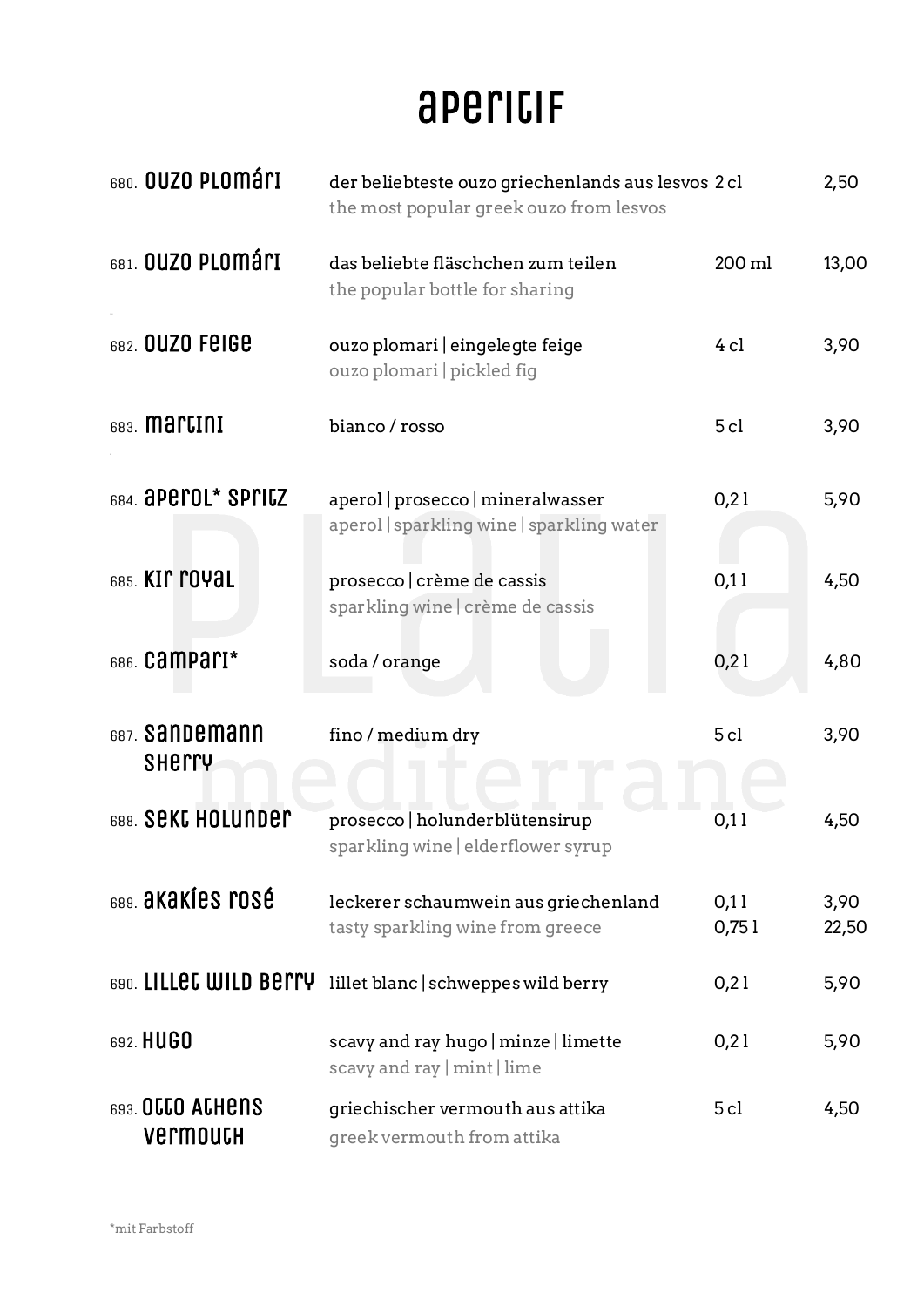#### apericif

| 680. OUZO PLOMÁLI                        | der beliebteste ouzo griechenlands aus lesvos 2 cl<br>the most popular greek ouzo from lesvos |               | 2,50          |
|------------------------------------------|-----------------------------------------------------------------------------------------------|---------------|---------------|
| <sub>681.</sub> OUZO PLOMÁ <sub>ri</sub> | das beliebte fläschchen zum teilen<br>the popular bottle for sharing                          | 200 ml        | 13,00         |
| 682. OUZO FEIGE                          | ouzo plomari eingelegte feige<br>ouzo plomari   pickled fig                                   | $4$ cl        | 3,90          |
| 683. <b>Martini</b>                      | bianco / rosso                                                                                | 5cl           | 3,90          |
| 684. <b>aperol* Spricz</b>               | aperol   prosecco   mineralwasser<br>aperol sparkling wine sparkling water                    | 0,21          | 5,90          |
| 685. KIP POYAL                           | prosecco crème de cassis<br>sparkling wine crème de cassis                                    | 0,11          | 4,50          |
| 686. Campari*                            | soda / orange                                                                                 | 0,21          | 4,80          |
| <sub>687</sub> . Sandemann<br>SHETTY     | fino / medium dry                                                                             | 5cl           | 3,90          |
| 688. SEKL HOLUNDEr                       | prosecco   holunderblütensirup<br>sparkling wine elderflower syrup                            | 0,11          | 4,50          |
| 689. <b>akakíes rosé</b>                 | leckerer schaumwein aus griechenland<br>tasty sparkling wine from greece                      | 0,11<br>0,751 | 3,90<br>22,50 |
| 690. LILLEC WILD BETTY                   | lillet blanc   schweppes wild berry                                                           | 0,21          | 5,90          |
| 692. HUGO                                | scavy and ray hugo   minze   limette<br>scavy and ray $ $ mint $ $ lime                       | 0,21          | 5,90          |
| 693. OCCO ACHENS<br>Vermouth             | griechischer vermouth aus attika<br>greek vermouth from attika                                | 5cl           | 4,50          |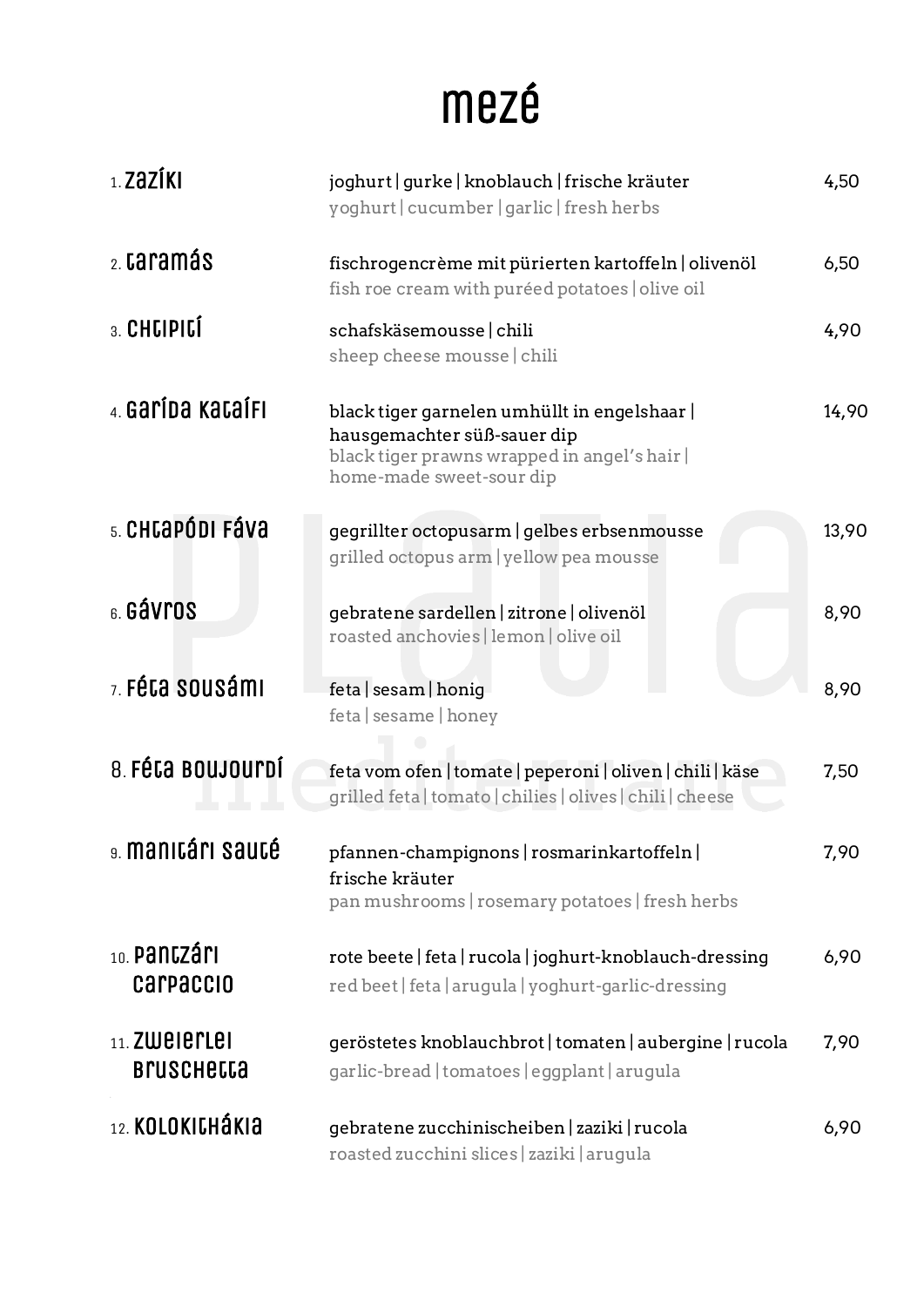## mezé

| $1.2aZ$ ÍKI                           | joghurt   gurke   knoblauch   frische kräuter<br>yoghurt   cucumber   garlic   fresh herbs                                                            | 4,50  |
|---------------------------------------|-------------------------------------------------------------------------------------------------------------------------------------------------------|-------|
| 2. caramás                            | fischrogencrème mit pürierten kartoffeln   olivenöl<br>fish roe cream with puréed potatoes olive oil                                                  | 6,50  |
| 3. CHUPIUÍ                            | schafskäsemousse   chili<br>sheep cheese mousse chili                                                                                                 | 4,90  |
| 4. Garída KataíFI                     | black tiger garnelen umhüllt in engelshaar<br>hausgemachter süß-sauer dip<br>black tiger prawns wrapped in angel's hair  <br>home-made sweet-sour dip | 14,90 |
| s. CHCaPÓDI FÁVA                      | gegrillter octopusarm   gelbes erbsenmousse<br>grilled octopus arm   yellow pea mousse                                                                | 13,90 |
| 6. Gávros                             | gebratene sardellen   zitrone   olivenöl<br>roasted anchovies   lemon   olive oil                                                                     | 8,90  |
| z. Féta sousámi                       | feta   sesam   honig<br>feta   sesame   honey                                                                                                         | 8,90  |
| 8. FÉCA BOUJOUPDÍ                     | feta vom ofen   tomate   peperoni   oliven   chili   käse<br>grilled feta   tomato   chilies   olives   chili   cheese                                | 7,50  |
| a. <b>Manitári Sauté</b>              | pfannen-champignons   rosmarinkartoffeln  <br>frische kräuter<br>pan mushrooms   rosemary potatoes   fresh herbs                                      | 7,90  |
| $_{10.}$ pantzári<br><b>Carpaccio</b> | rote beete   feta   rucola   joghurt-knoblauch-dressing<br>red beet   feta   arugula   yoghurt-garlic-dressing                                        | 6,90  |
| $11.$ ZWeierlei<br><b>Bruschetta</b>  | geröstetes knoblauchbrot   tomaten   aubergine   rucola<br>garlic-bread   tomatoes   eggplant   arugula                                               | 7,90  |
| 12. KOLOKICHÁKIA                      | gebratene zucchinischeiben   zaziki   rucola<br>roasted zucchini slices   zaziki   arugula                                                            | 6,90  |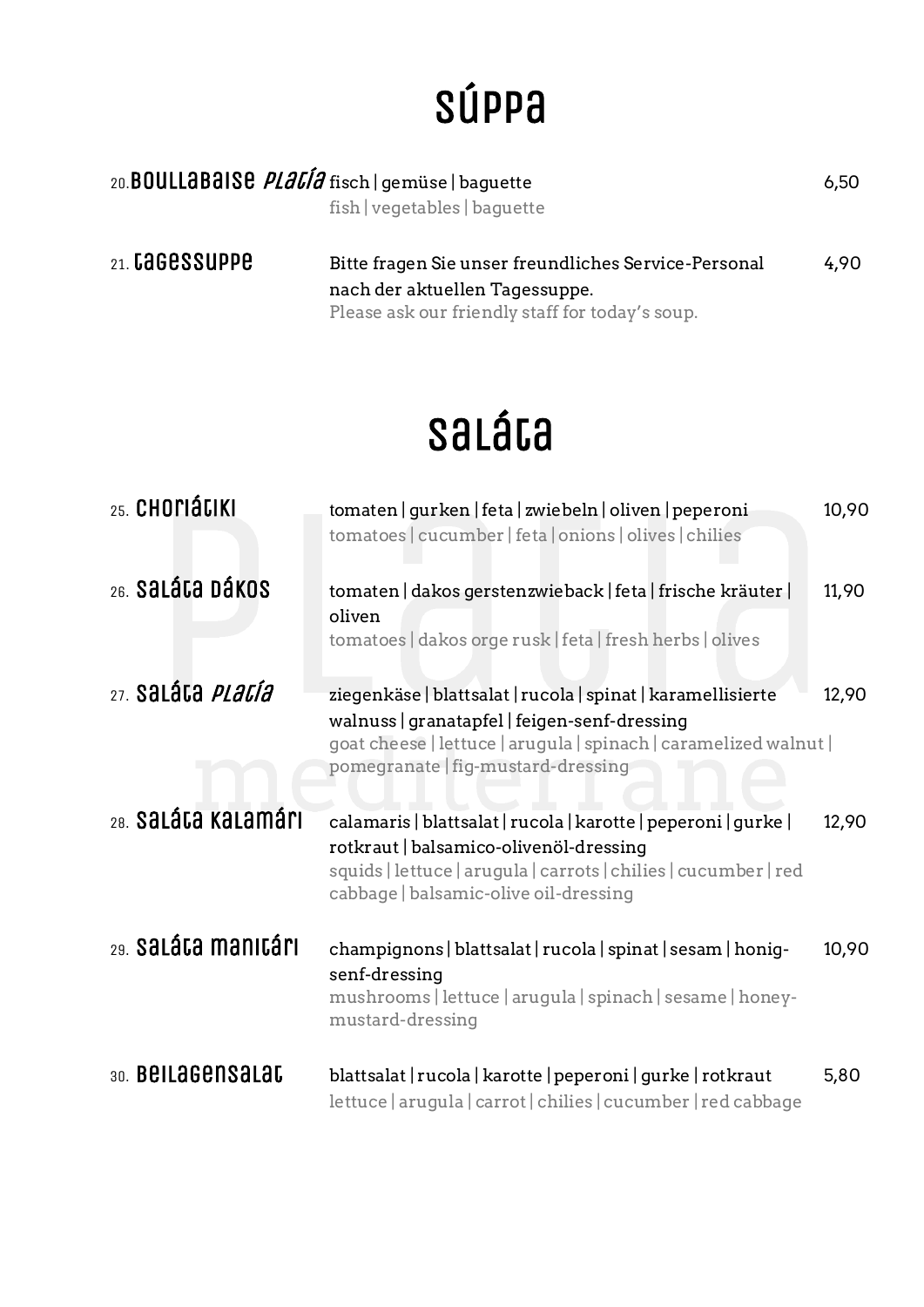## Súppa

| 20. <b>BOULLABAISE</b> <i>PLALIA</i> fisch   gemüse   baguette | fish vegetables   baquette                                                                                                                | 6,50 |
|----------------------------------------------------------------|-------------------------------------------------------------------------------------------------------------------------------------------|------|
| 21. Cagessuppe                                                 | Bitte fragen Sie unser freundliches Service-Personal<br>nach der aktuellen Tagessuppe.<br>Please ask our friendly staff for today's soup. | 4.90 |

# Saláta

| 25. CHOMÁLIKI                       | tomaten   gurken   feta   zwiebeln   oliven   peperoni<br>tomatoes   cucumber   feta   onions   olives   chilies                                                                                                      | 10,90 |
|-------------------------------------|-----------------------------------------------------------------------------------------------------------------------------------------------------------------------------------------------------------------------|-------|
| 26. Saláta Dákos                    | tomaten   dakos gerstenzwieback   feta   frische kräuter  <br>oliven<br>tomatoes   dakos orge rusk   feta   fresh herbs   olives                                                                                      | 11,90 |
| <sub>27.</sub> Saláta <i>Platía</i> | ziegenkäse   blattsalat   rucola   spinat   karamellisierte<br>walnuss   granatapfel   feigen-senf-dressing<br>goat cheese   lettuce   arugula   spinach   caramelized walnut  <br>pomegranate   fig-mustard-dressing | 12,90 |
| 28. Saláta kalamári                 | calamaris   blattsalat   rucola   karotte   peperoni   gurke  <br>rotkraut   balsamico-olivenöl-dressing<br>squids   lettuce   arugula   carrots   chilies   cucumber   red<br>cabbage   balsamic-olive oil-dressing  | 12,90 |
| 29. Saláta manitári                 | champignons   blattsalat   rucola   spinat   sesam   honig-<br>senf-dressing<br>mushrooms   lettuce   arugula   spinach   sesame   honey-<br>mustard-dressing                                                         | 10,90 |
| 30. Bellagensalat                   | blattsalat   rucola   karotte   peperoni   gurke   rotkraut<br>lettuce   arugula   carrot   chilies   cucumber   red cabbage                                                                                          | 5,80  |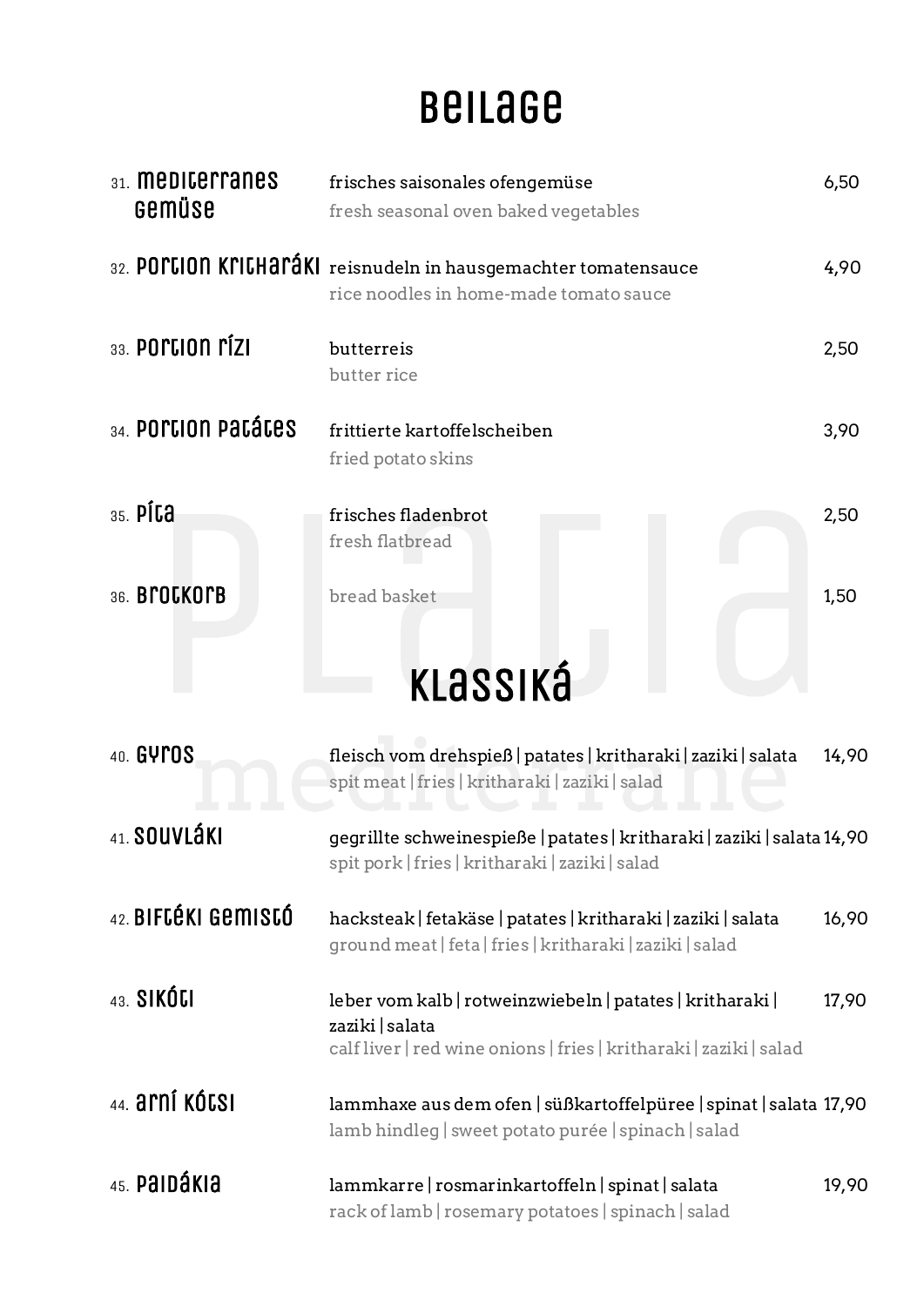## beilage

| 31. <b>MEDICELLANES</b><br>Gemüse | frisches saisonales ofengemüse<br>fresh seasonal oven baked vegetables                                                                             | 6,50  |
|-----------------------------------|----------------------------------------------------------------------------------------------------------------------------------------------------|-------|
|                                   | 32. POILION KIILHAIÁKI reisnudeln in hausgemachter tomatensauce<br>rice noodles in home-made tomato sauce                                          | 4,90  |
| $33.$ POPLION $\mathsf{P}$ (ZI    | butterreis<br>butter rice                                                                                                                          | 2,50  |
| 34. POPCION PACÁCES               | frittierte kartoffelscheiben<br>fried potato skins                                                                                                 | 3,90  |
| $35.$ PÍC $a$                     | frisches fladenbrot<br>fresh flatbread                                                                                                             | 2,50  |
| 36. BPOCKOPB                      | bread basket                                                                                                                                       | 1,50  |
|                                   | KLASSIKÁ                                                                                                                                           |       |
| 40. GYPOS                         | fleisch vom drehspieß   patates   kritharaki   zaziki   salata<br>spit meat   fries   kritharaki   zaziki   salad                                  | 14,90 |
| 41. SOUVLÁKI                      | gegrillte schweinespieße   patates   kritharaki   zaziki   salata 14,90<br>spit pork   fries   kritharaki   zaziki   salad                         |       |
| 42. BIFCÉKI GEMISCÓ               | hacksteak   fetakäse   patates   kritharaki   zaziki   salata<br>ground meat   feta   fries   kritharaki   zaziki   salad                          | 16,90 |
| 43. SIKÓU                         | leber vom kalb   rotweinzwiebeln   patates   kritharaki  <br>zaziki   salata<br>calf liver   red wine onions   fries   kritharaki   zaziki   salad | 17,90 |
| 44. arní kótsi                    | lammhaxe aus dem ofen   süßkartoffelpüree   spinat   salata 17,90<br>lamb hindleg sweet potato purée spinach salad                                 |       |
| 45. PAIDÁKIA                      | lammkarre   rosmarinkartoffeln   spinat   salata<br>rack of lamb   rosemary potatoes   spinach   salad                                             | 19,90 |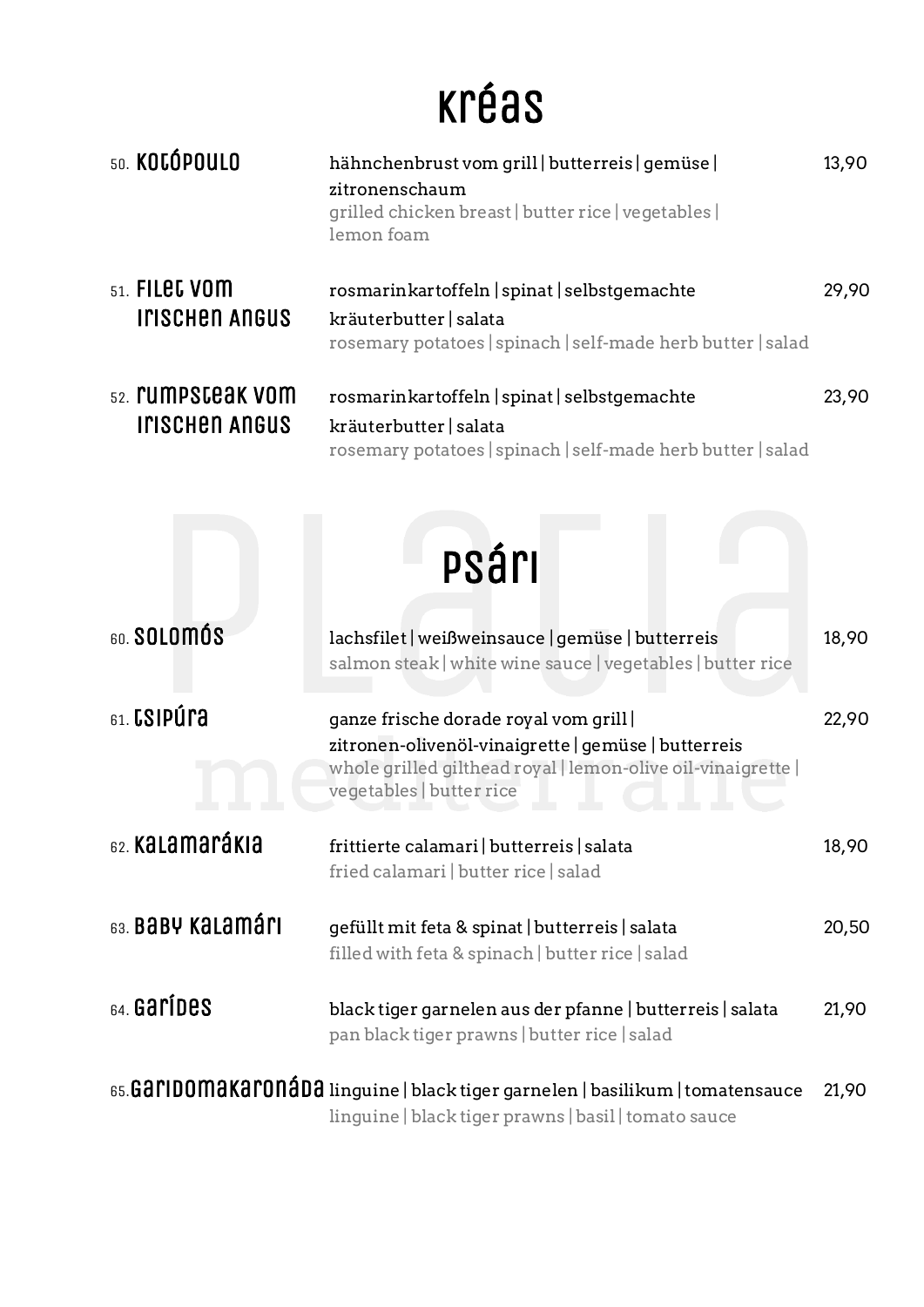# kréas

| 50. KOCÓPOULO                                        | hähnchenbrust vom grill   butterreis   gemüse  <br>zitronenschaum<br>grilled chicken breast   butter rice   vegetables  <br>lemon foam                                                  | 13,90 |
|------------------------------------------------------|-----------------------------------------------------------------------------------------------------------------------------------------------------------------------------------------|-------|
| $51.$ FILEC VOM<br><b>INSCHED ANGUS</b>              | rosmarinkartoffeln   spinat   selbstgemachte<br>kräuterbutter   salata<br>rosemary potatoes   spinach   self-made herb butter   salad                                                   | 29,90 |
| <sub>52.</sub> rumpsceak vom<br><b>INSCHED ANGUS</b> | rosmarinkartoffeln   spinat   selbstgemachte<br>kräuterbutter   salata<br>rosemary potatoes   spinach   self-made herb butter   salad                                                   | 23,90 |
|                                                      | psári                                                                                                                                                                                   |       |
| 60. SOLOMÓS                                          | lachsfilet   weißweinsauce   gemüse   butterreis<br>salmon steak white wine sauce vegetables butter rice                                                                                | 18,90 |
| $_{61}$ . CSIPÚľa                                    | ganze frische dorade royal vom grill<br>zitronen-olivenöl-vinaigrette   gemüse   butterreis<br>whole grilled gilthead royal   lemon-olive oil-vinaigrette  <br>vegetables   butter rice | 22,90 |
| 62. Kalamarákia                                      | frittierte calamari   butterreis   salata<br>fried calamari   butter rice   salad                                                                                                       | 18,90 |
| 63. BABY KALAMÁMI                                    | gefüllt mit feta & spinat   butterreis   salata<br>filled with feta & spinach   butter rice   salad                                                                                     | 20,50 |
| $64.$ Garides                                        | black tiger garnelen aus der pfanne   butterreis   salata<br>pan black tiger prawns   butter rice   salad                                                                               | 21,90 |
|                                                      | 65.GOIIDOMOKOIONÓDO linguine   black tiger garnelen   basilikum   tomatensauce<br>linguine   black tiger prawns   basil   tomato sauce                                                  | 21,90 |